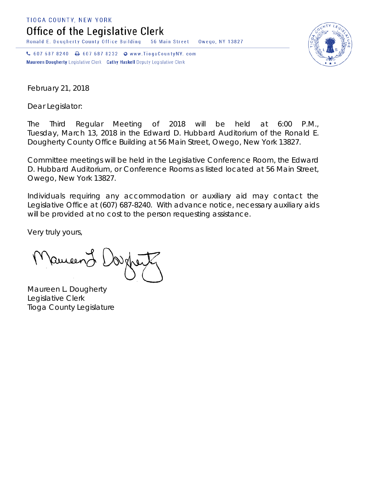TIOGA COUNTY, NEW YORK

Office of the Legislative Clerk

Ronald E. Dougherty County Office Building 56 Main Street Owego, NY 13827

↓ 607 687 8240 → 607 687 8232 → www.TiogaCountyNY.com Maureen Dougherty Legislative Clerk Cathy Haskell Deputy Legislative Clerk



February 21, 2018

Dear Legislator:

The Third Regular Meeting of 2018 will be held at 6:00 P.M., Tuesday, March 13, 2018 in the Edward D. Hubbard Auditorium of the Ronald E. Dougherty County Office Building at 56 Main Street, Owego, New York 13827.

Committee meetings will be held in the Legislative Conference Room, the Edward D. Hubbard Auditorium, or Conference Rooms as listed located at 56 Main Street, Owego, New York 13827.

Individuals requiring any accommodation or auxiliary aid may contact the Legislative Office at (607) 687-8240. With advance notice, necessary auxiliary aids will be provided at no cost to the person requesting assistance.

Very truly yours,

Remeend

Maureen L. Dougherty Legislative Clerk Tioga County Legislature